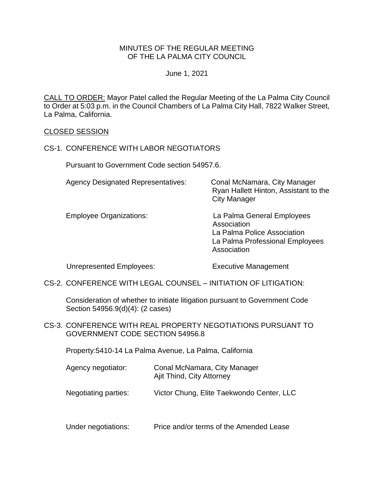### MINUTES OF THE REGULAR MEETING OF THE LA PALMA CITY COUNCIL

June 1, 2021

CALL TO ORDER: [Mayor Patel called the Regular Meeting of the La Palma City Council](https://lapalma.granicus.com/MediaPlayer.php?view_id=&clip_id=1265&meta_id=170240)  [to Order at 5:03 p.m. in the Council Chambers of La Palma City Hall, 7822 Walker Street,](https://lapalma.granicus.com/MediaPlayer.php?view_id=&clip_id=1265&meta_id=170240)  [La Palma, California.](https://lapalma.granicus.com/MediaPlayer.php?view_id=&clip_id=1265&meta_id=170240)

#### [CLOSED SESSION](https://lapalma.granicus.com/MediaPlayer.php?view_id=&clip_id=1265&meta_id=170241)

#### CS-1. [CONFERENCE WITH LABOR NEGOTIATORS](https://lapalma.granicus.com/MediaPlayer.php?view_id=&clip_id=1265&meta_id=170242)

Pursuant to Government Code section 54957.6.

| <b>Agency Designated Representatives:</b> | Conal McNamara, City Manager<br>Ryan Hallett Hinton, Assistant to the<br><b>City Manager</b>                               |
|-------------------------------------------|----------------------------------------------------------------------------------------------------------------------------|
| <b>Employee Organizations:</b>            | La Palma General Employees<br>Association<br>La Palma Police Association<br>La Palma Professional Employees<br>Association |

Unrepresented Employees: Executive Management

CS-2. [CONFERENCE WITH LEGAL COUNSEL –](https://lapalma.granicus.com/MediaPlayer.php?view_id=&clip_id=1265&meta_id=170243) INITIATION OF LITIGATION:

Consideration of whether to initiate litigation pursuant to Government Code Section 54956.9(d)(4): (2 cases)

CS-3. [CONFERENCE WITH REAL PROPERTY NEGOTIATIONS PURSUANT TO](https://lapalma.granicus.com/MediaPlayer.php?view_id=&clip_id=1265&meta_id=170244)  [GOVERNMENT CODE SECTION 54956.8](https://lapalma.granicus.com/MediaPlayer.php?view_id=&clip_id=1265&meta_id=170244)

Property:5410-14 La Palma Avenue, La Palma, California

| Agency negotiator: | Conal McNamara, City Manager |
|--------------------|------------------------------|
|                    | Ajit Thind, City Attorney    |

Negotiating parties: Victor Chung, Elite Taekwondo Center, LLC

Under negotiations: Price and/or terms of the Amended Lease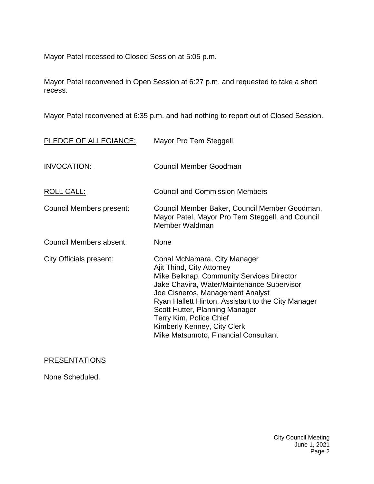Mayor Patel recessed to Closed Session at 5:05 p.m.

Mayor Patel reconvened in Open Session at 6:27 p.m. and requested to take a short recess.

Mayor Patel reconvened at 6:35 p.m. and had nothing to report out of Closed Session.

| PLEDGE OF ALLEGIANCE:          | Mayor Pro Tem Steggell                                                                                                                                                                                                                                                                                                                                                             |
|--------------------------------|------------------------------------------------------------------------------------------------------------------------------------------------------------------------------------------------------------------------------------------------------------------------------------------------------------------------------------------------------------------------------------|
| INVOCATION:                    | Council Member Goodman                                                                                                                                                                                                                                                                                                                                                             |
| <b>ROLL CALL:</b>              | <b>Council and Commission Members</b>                                                                                                                                                                                                                                                                                                                                              |
| Council Members present:       | Council Member Baker, Council Member Goodman,<br>Mayor Patel, Mayor Pro Tem Steggell, and Council<br>Member Waldman                                                                                                                                                                                                                                                                |
| <b>Council Members absent:</b> | None                                                                                                                                                                                                                                                                                                                                                                               |
| City Officials present:        | Conal McNamara, City Manager<br>Ajit Thind, City Attorney<br>Mike Belknap, Community Services Director<br>Jake Chavira, Water/Maintenance Supervisor<br>Joe Cisneros, Management Analyst<br>Ryan Hallett Hinton, Assistant to the City Manager<br>Scott Hutter, Planning Manager<br>Terry Kim, Police Chief<br>Kimberly Kenney, City Clerk<br>Mike Matsumoto, Financial Consultant |

# **[PRESENTATIONS](https://lapalma.granicus.com/MediaPlayer.php?view_id=&clip_id=1265&meta_id=170248)**

None Scheduled.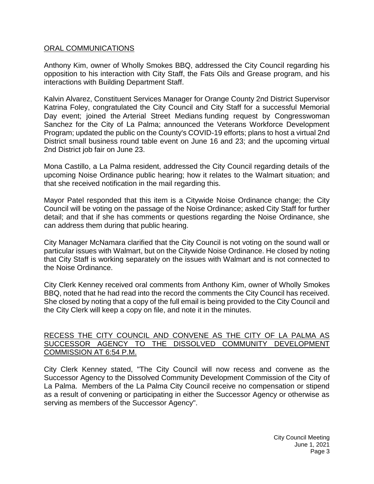### [ORAL COMMUNICATIONS](https://lapalma.granicus.com/MediaPlayer.php?view_id=&clip_id=1265&meta_id=170249)

Anthony Kim, owner of Wholly Smokes BBQ, addressed the City Council regarding his opposition to his interaction with City Staff, the Fats Oils and Grease program, and his interactions with Building Department Staff.

Kalvin Alvarez, Constituent Services Manager for Orange County 2nd District Supervisor Katrina Foley, congratulated the City Council and City Staff for a successful Memorial Day event; joined the Arterial Street Medians funding request by Congresswoman Sanchez for the City of La Palma; announced the Veterans Workforce Development Program; updated the public on the County's COVID-19 efforts; plans to host a virtual 2nd District small business round table event on June 16 and 23; and the upcoming virtual 2nd District job fair on June 23.

Mona Castillo, a La Palma resident, addressed the City Council regarding details of the upcoming Noise Ordinance public hearing; how it relates to the Walmart situation; and that she received notification in the mail regarding this.

Mayor Patel responded that this item is a Citywide Noise Ordinance change; the City Council will be voting on the passage of the Noise Ordinance; asked City Staff for further detail; and that if she has comments or questions regarding the Noise Ordinance, she can address them during that public hearing.

City Manager McNamara clarified that the City Council is not voting on the sound wall or particular issues with Walmart, but on the Citywide Noise Ordinance. He closed by noting that City Staff is working separately on the issues with Walmart and is not connected to the Noise Ordinance.

City Clerk Kenney received oral comments from Anthony Kim, owner of Wholly Smokes BBQ, noted that he had read into the record the comments the City Council has received. She closed by noting that a copy of the full email is being provided to the City Council and the City Clerk will keep a copy on file, and note it in the minutes.

## [RECESS THE CITY COUNCIL AND CONVENE AS THE CITY OF LA PALMA AS](https://lapalma.granicus.com/MediaPlayer.php?view_id=&clip_id=1265&meta_id=170250)  [SUCCESSOR AGENCY TO THE DISSOLVED COMMUNITY DEVELOPMENT](https://lapalma.granicus.com/MediaPlayer.php?view_id=&clip_id=1265&meta_id=170250)  [COMMISSION AT 6:54 P.M.](https://lapalma.granicus.com/MediaPlayer.php?view_id=&clip_id=1265&meta_id=170250)

[City Clerk Kenney stated, "The City Council will now recess and convene as the](https://lapalma.granicus.com/MediaPlayer.php?view_id=&clip_id=1265&meta_id=170251)  [Successor Agency to the Dissolved Community Development Commission of the City of](https://lapalma.granicus.com/MediaPlayer.php?view_id=&clip_id=1265&meta_id=170251)  La Palma. [Members of the La Palma City Council receive no compensation or stipend](https://lapalma.granicus.com/MediaPlayer.php?view_id=&clip_id=1265&meta_id=170251)  [as a result of convening or participating in either the Successor Agency or otherwise as](https://lapalma.granicus.com/MediaPlayer.php?view_id=&clip_id=1265&meta_id=170251)  [serving as members of the Successor Agency".](https://lapalma.granicus.com/MediaPlayer.php?view_id=&clip_id=1265&meta_id=170251)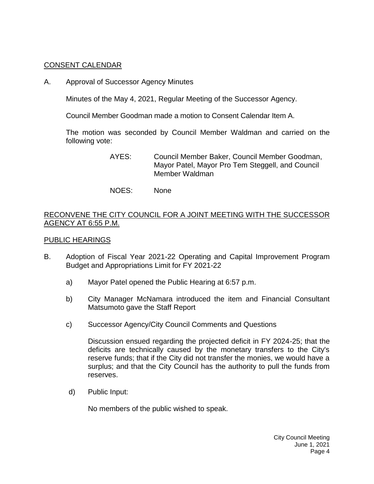## [CONSENT CALENDAR](https://lapalma.granicus.com/MediaPlayer.php?view_id=&clip_id=1265&meta_id=170252)

A. Approval of Successor Agency Minutes

Minutes of the May 4, 2021, Regular Meeting of the Successor Agency.

Council Member Goodman made a motion to Consent Calendar Item A.

The motion was seconded by Council Member Waldman and carried on the following vote:

- AYES: Council Member Baker, Council Member Goodman, Mayor Patel, Mayor Pro Tem Steggell, and Council Member Waldman
- NOES: None

## [RECONVENE THE CITY COUNCIL FOR A JOINT MEETING WITH THE SUCCESSOR](https://lapalma.granicus.com/MediaPlayer.php?view_id=&clip_id=1265&meta_id=170254)  [AGENCY AT 6:55 P.M.](https://lapalma.granicus.com/MediaPlayer.php?view_id=&clip_id=1265&meta_id=170254)

### [PUBLIC HEARINGS](https://lapalma.granicus.com/MediaPlayer.php?view_id=&clip_id=1265&meta_id=170255)

- B. [Adoption of Fiscal Year 2021-22 Operating and Capital Improvement Program](https://lapalma.granicus.com/MediaPlayer.php?view_id=&clip_id=1265&meta_id=170256)  [Budget and Appropriations Limit for FY 2021-22](https://lapalma.granicus.com/MediaPlayer.php?view_id=&clip_id=1265&meta_id=170256)
	- a) [Mayor Patel opened the Public Hearing at 6:57 p.m.](https://lapalma.granicus.com/MediaPlayer.php?view_id=&clip_id=1265&meta_id=170257)
	- b) [City Manager McNamara introduced the item and Financial Consultant](https://lapalma.granicus.com/MediaPlayer.php?view_id=&clip_id=1265&meta_id=170258)  Matsumoto [gave the Staff Report](https://lapalma.granicus.com/MediaPlayer.php?view_id=&clip_id=1265&meta_id=170258)
	- c) [Successor Agency/City Council Comments](https://lapalma.granicus.com/MediaPlayer.php?view_id=&clip_id=1265&meta_id=170259) and Questions

Discussion ensued regarding the projected deficit in FY 2024-25; that the deficits are technically caused by the monetary transfers to the City's reserve funds; that if the City did not transfer the monies, we would have a surplus; and that the City Council has the authority to pull the funds from reserves.

d) [Public Input:](https://lapalma.granicus.com/MediaPlayer.php?view_id=&clip_id=1265&meta_id=170260)

No members of the public wished to speak.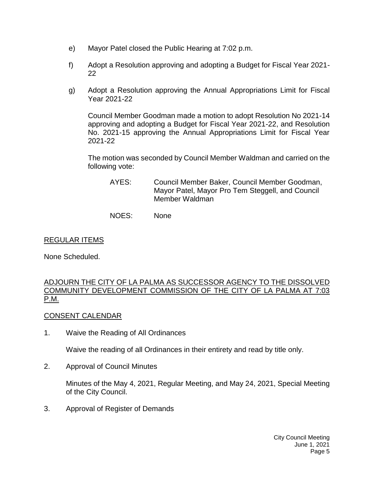- e) [Mayor Patel closed the Public Hearing at 7:02 p.m.](https://lapalma.granicus.com/MediaPlayer.php?view_id=&clip_id=1265&meta_id=170261)
- f) Adopt a Resolution approving and adopting a Budget for Fiscal Year 2021- 22
- g) Adopt a Resolution approving the Annual Appropriations Limit for Fiscal Year 2021-22

Council Member Goodman made a motion to adopt Resolution No 2021-14 approving and adopting a Budget for Fiscal Year 2021-22, and Resolution No. 2021-15 approving the Annual Appropriations Limit for Fiscal Year 2021-22

The motion was seconded by Council Member Waldman and carried on the following vote:

- AYES: Council Member Baker, Council Member Goodman, Mayor Patel, Mayor Pro Tem Steggell, and Council Member Waldman
- NOES: None

# [REGULAR ITEMS](https://lapalma.granicus.com/MediaPlayer.php?view_id=&clip_id=1265&meta_id=170264)

None Scheduled.

### [ADJOURN THE CITY OF LA PALMA AS SUCCESSOR AGENCY TO THE DISSOLVED](https://lapalma.granicus.com/MediaPlayer.php?view_id=&clip_id=1265&meta_id=170265)  [COMMUNITY DEVELOPMENT COMMISSION OF THE CITY OF LA PALMA AT 7:03](https://lapalma.granicus.com/MediaPlayer.php?view_id=&clip_id=1265&meta_id=170265)  [P.M.](https://lapalma.granicus.com/MediaPlayer.php?view_id=&clip_id=1265&meta_id=170265)

# [CONSENT CALENDAR](https://lapalma.granicus.com/MediaPlayer.php?view_id=&clip_id=1265&meta_id=170267)

1. Waive the Reading of All Ordinances

Waive the reading of all Ordinances in their entirety and read by title only.

2. Approval of Council Minutes

Minutes of the May 4, 2021, Regular Meeting, and May 24, 2021, Special Meeting of the City Council.

3. Approval of Register of Demands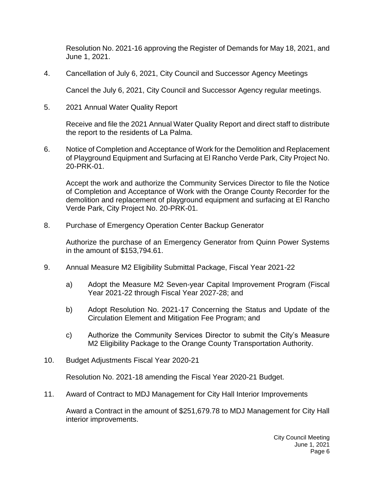Resolution No. 2021-16 approving the Register of Demands for May 18, 2021, and June 1, 2021.

4. Cancellation of July 6, 2021, City Council and Successor Agency Meetings

Cancel the July 6, 2021, City Council and Successor Agency regular meetings.

5. 2021 Annual Water Quality Report

Receive and file the 2021 Annual Water Quality Report and direct staff to distribute the report to the residents of La Palma.

6. Notice of Completion and Acceptance of Work for the Demolition and Replacement of Playground Equipment and Surfacing at El Rancho Verde Park, City Project No. 20-PRK-01.

Accept the work and authorize the Community Services Director to file the Notice of Completion and Acceptance of Work with the Orange County Recorder for the demolition and replacement of playground equipment and surfacing at El Rancho Verde Park, City Project No. 20-PRK-01.

8. Purchase of Emergency Operation Center Backup Generator

Authorize the purchase of an Emergency Generator from Quinn Power Systems in the amount of \$153,794.61.

- 9. Annual Measure M2 Eligibility Submittal Package, Fiscal Year 2021-22
	- a) Adopt the Measure M2 Seven-year Capital Improvement Program (Fiscal Year 2021-22 through Fiscal Year 2027-28; and
	- b) Adopt Resolution No. 2021-17 Concerning the Status and Update of the Circulation Element and Mitigation Fee Program; and
	- c) Authorize the Community Services Director to submit the City's Measure M2 Eligibility Package to the Orange County Transportation Authority.
- 10. Budget Adjustments Fiscal Year 2020-21

Resolution No. 2021-18 amending the Fiscal Year 2020-21 Budget.

11. Award of Contract to MDJ Management for City Hall Interior Improvements

Award a Contract in the amount of \$251,679.78 to MDJ Management for City Hall interior improvements.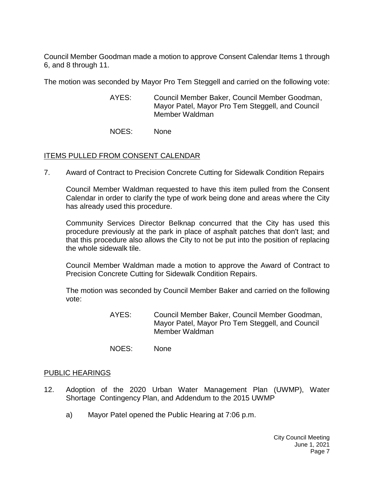Council Member Goodman made a motion to approve Consent Calendar Items 1 through 6, and 8 through 11.

The motion was seconded by Mayor Pro Tem Steggell and carried on the following vote:

- AYES: Council Member Baker, Council Member Goodman, Mayor Patel, Mayor Pro Tem Steggell, and Council Member Waldman
- NOES: None

## ITEMS PULLED FROM CONSENT CALENDAR

7. [Award of Contract to Precision Concrete Cutting for Sidewalk Condition Repairs](https://lapalma.granicus.com/MediaPlayer.php?view_id=&clip_id=1265&meta_id=170274)

Council Member Waldman requested to have this item pulled from the Consent Calendar in order to clarify the type of work being done and areas where the City has already used this procedure.

Community Services Director Belknap concurred that the City has used this procedure previously at the park in place of asphalt patches that don't last; and that this procedure also allows the City to not be put into the position of replacing the whole sidewalk tile.

Council Member Waldman made a motion to approve the Award of Contract to Precision Concrete Cutting for Sidewalk Condition Repairs.

The motion was seconded by Council Member Baker and carried on the following vote:

- AYES: Council Member Baker, Council Member Goodman, Mayor Patel, Mayor Pro Tem Steggell, and Council Member Waldman
- NOES: None

### [PUBLIC HEARINGS](https://lapalma.granicus.com/MediaPlayer.php?view_id=&clip_id=1265&meta_id=170282)

- 12. [Adoption of the 2020 Urban Water Management Plan \(UWMP\), Water](https://lapalma.granicus.com/MediaPlayer.php?view_id=&clip_id=1265&meta_id=170283)  Shortage [Contingency Plan, and Addendum to the 2015 UWMP](https://lapalma.granicus.com/MediaPlayer.php?view_id=&clip_id=1265&meta_id=170283)
	- a) [Mayor Patel opened the Public Hearing at 7:06 p.m.](https://lapalma.granicus.com/MediaPlayer.php?view_id=&clip_id=1265&meta_id=170284)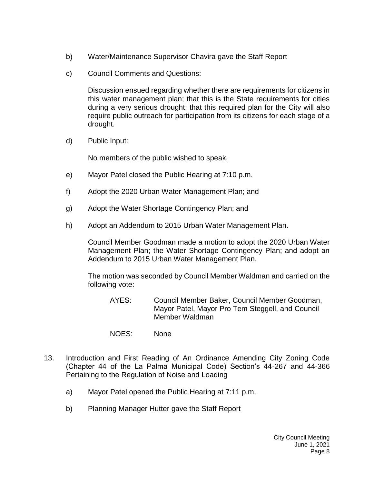- b) [Water/Maintenance Supervisor Chavira gave the Staff Report](https://lapalma.granicus.com/MediaPlayer.php?view_id=&clip_id=1265&meta_id=170285)
- c) [Council Comments and Questions:](https://lapalma.granicus.com/MediaPlayer.php?view_id=&clip_id=1265&meta_id=170286)

Discussion ensued regarding whether there are requirements for citizens in this water management plan; that this is the State requirements for cities during a very serious drought; that this required plan for the City will also require public outreach for participation from its citizens for each stage of a drought.

d) [Public Input:](https://lapalma.granicus.com/MediaPlayer.php?view_id=&clip_id=1265&meta_id=170287)

No members of the public wished to speak.

- e) [Mayor Patel closed the Public Hearing at 7:10 p.m.](https://lapalma.granicus.com/MediaPlayer.php?view_id=&clip_id=1265&meta_id=170288)
- f) Adopt the 2020 Urban Water Management Plan; and
- g) Adopt the Water Shortage Contingency Plan; and
- h) Adopt an Addendum to 2015 Urban Water Management Plan.

Council Member Goodman made a motion to adopt the 2020 Urban Water Management Plan; the Water Shortage Contingency Plan; and adopt an Addendum to 2015 Urban Water Management Plan.

The motion was seconded by Council Member Waldman and carried on the following vote:

- AYES: Council Member Baker, Council Member Goodman, Mayor Patel, Mayor Pro Tem Steggell, and Council Member Waldman
- NOES: None
- 13. [Introduction and First Reading of An Ordinance Amending City Zoning Code](https://lapalma.granicus.com/MediaPlayer.php?view_id=&clip_id=1265&meta_id=170292)  [\(Chapter 44 of the La Palma Municipal Code\) Section's 44-267 and 44-366](https://lapalma.granicus.com/MediaPlayer.php?view_id=&clip_id=1265&meta_id=170292)  [Pertaining to the Regulation of Noise and Loading](https://lapalma.granicus.com/MediaPlayer.php?view_id=&clip_id=1265&meta_id=170292)
	- a) [Mayor Patel opened the Public Hearing at 7:11 p.m.](https://lapalma.granicus.com/MediaPlayer.php?view_id=&clip_id=1265&meta_id=170293)
	- b) [Planning Manager Hutter gave the Staff Report](https://lapalma.granicus.com/MediaPlayer.php?view_id=&clip_id=1265&meta_id=170294)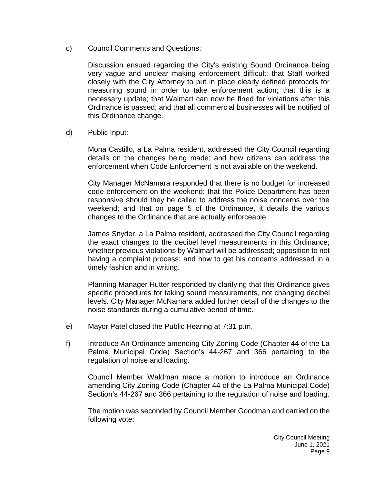c) [Council Comments and Questions:](https://lapalma.granicus.com/MediaPlayer.php?view_id=&clip_id=1265&meta_id=170295)

Discussion ensued regarding the City's existing Sound Ordinance being very vague and unclear making enforcement difficult; that Staff worked closely with the City Attorney to put in place clearly defined protocols for measuring sound in order to take enforcement action; that this is a necessary update; that Walmart can now be fined for violations after this Ordinance is passed; and that all commercial businesses will be notified of this Ordinance change.

d) [Public Input:](https://lapalma.granicus.com/MediaPlayer.php?view_id=&clip_id=1265&meta_id=170296)

Mona Castillo, a La Palma resident, addressed the City Council regarding details on the changes being made; and how citizens can address the enforcement when Code Enforcement is not available on the weekend.

City Manager McNamara responded that there is no budget for increased code enforcement on the weekend; that the Police Department has been responsive should they be called to address the noise concerns over the weekend; and that on page 5 of the Ordinance, it details the various changes to the Ordinance that are actually enforceable.

James Snyder, a La Palma resident, addressed the City Council regarding the exact changes to the decibel level measurements in this Ordinance; whether previous violations by Walmart will be addressed; opposition to not having a complaint process; and how to get his concerns addressed in a timely fashion and in writing.

Planning Manager Hutter responded by clarifying that this Ordinance gives specific procedures for taking sound measurements, not changing decibel levels. City Manager McNamara added further detail of the changes to the noise standards during a cumulative period of time.

- e) [Mayor Patel closed the Public Hearing at 7:31 p.m.](https://lapalma.granicus.com/MediaPlayer.php?view_id=&clip_id=1265&meta_id=170297)
- f) Introduce An Ordinance amending City Zoning Code (Chapter 44 of the La Palma Municipal Code) Section's 44-267 and 366 pertaining to the regulation of noise and loading.

Council Member Waldman made a motion to introduce an Ordinance amending City Zoning Code (Chapter 44 of the La Palma Municipal Code) Section's 44-267 and 366 pertaining to the regulation of noise and loading.

The motion was seconded by Council Member Goodman and carried on the following vote: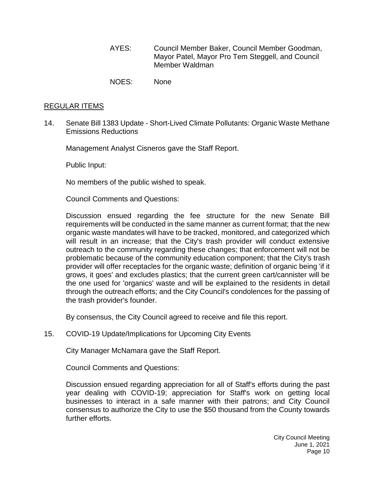- AYES: Council Member Baker, Council Member Goodman, Mayor Patel, Mayor Pro Tem Steggell, and Council Member Waldman
- NOES: None

#### [REGULAR ITEMS](https://lapalma.granicus.com/MediaPlayer.php?view_id=&clip_id=1265&meta_id=170299)

14. Senate Bill 1383 Update - [Short-Lived Climate Pollutants: Organic Waste Methane](https://lapalma.granicus.com/MediaPlayer.php?view_id=&clip_id=1265&meta_id=170300)  [Emissions Reductions](https://lapalma.granicus.com/MediaPlayer.php?view_id=&clip_id=1265&meta_id=170300)

Management Analyst Cisneros gave the Staff Report.

Public Input:

No members of the public wished to speak.

Council Comments and Questions:

Discussion ensued regarding the fee structure for the new Senate Bill requirements will be conducted in the same manner as current format; that the new organic waste mandates will have to be tracked, monitored, and categorized which will result in an increase; that the City's trash provider will conduct extensive outreach to the community regarding these changes; that enforcement will not be problematic because of the community education component; that the City's trash provider will offer receptacles for the organic waste; definition of organic being 'if it grows, it goes' and excludes plastics; that the current green cart/cannister will be the one used for 'organics' waste and will be explained to the residents in detail through the outreach efforts; and the City Council's condolences for the passing of the trash provider's founder.

By consensus, the City Council agreed to receive and file this report.

15. [COVID-19 Update/Implications for Upcoming City Events](https://lapalma.granicus.com/MediaPlayer.php?view_id=&clip_id=1265&meta_id=170301)

City Manager McNamara gave the Staff Report.

Council Comments and Questions:

Discussion ensued regarding appreciation for all of Staff's efforts during the past year dealing with COVID-19; appreciation for Staff's work on getting local businesses to interact in a safe manner with their patrons; and City Council consensus to authorize the City to use the \$50 thousand from the County towards further efforts.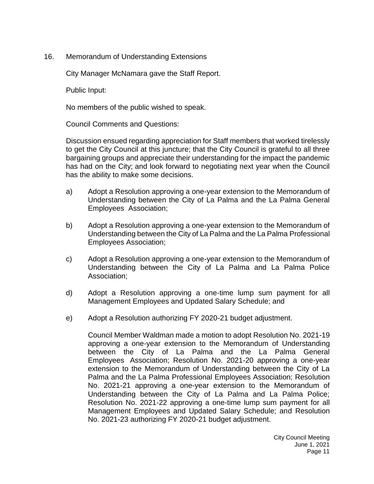16. [Memorandum of Understanding Extensions](https://lapalma.granicus.com/MediaPlayer.php?view_id=&clip_id=1265&meta_id=170302)

City Manager McNamara gave the Staff Report.

Public Input:

No members of the public wished to speak.

Council Comments and Questions:

Discussion ensued regarding appreciation for Staff members that worked tirelessly to get the City Council at this juncture; that the City Council is grateful to all three bargaining groups and appreciate their understanding for the impact the pandemic has had on the City; and look forward to negotiating next year when the Council has the ability to make some decisions.

- a) Adopt a Resolution approving a one-year extension to the Memorandum of Understanding between the City of La Palma and the La Palma General Employees Association;
- b) Adopt a Resolution approving a one-year extension to the Memorandum of Understanding between the City of La Palma and the La Palma Professional Employees Association;
- c) Adopt a Resolution approving a one-year extension to the Memorandum of Understanding between the City of La Palma and La Palma Police Association;
- d) Adopt a Resolution approving a one-time lump sum payment for all Management Employees and Updated Salary Schedule; and
- e) Adopt a Resolution authorizing FY 2020-21 budget adjustment.

Council Member Waldman made a motion to adopt Resolution No. 2021-19 approving a one-year extension to the Memorandum of Understanding between the City of La Palma and the La Palma General Employees Association; Resolution No. 2021-20 approving a one-year extension to the Memorandum of Understanding between the City of La Palma and the La Palma Professional Employees Association; Resolution No. 2021-21 approving a one-year extension to the Memorandum of Understanding between the City of La Palma and La Palma Police; Resolution No. 2021-22 approving a one-time lump sum payment for all Management Employees and Updated Salary Schedule; and Resolution No. 2021-23 authorizing FY 2020-21 budget adjustment.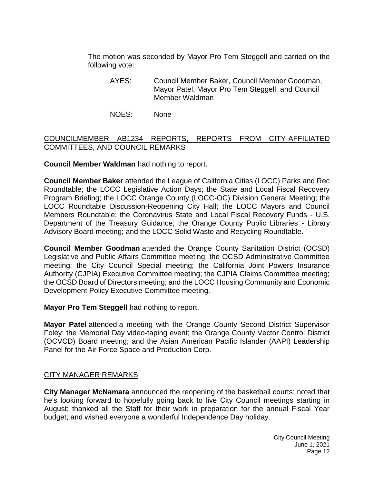The motion was seconded by Mayor Pro Tem Steggell and carried on the following vote:

- AYES: Council Member Baker, Council Member Goodman, Mayor Patel, Mayor Pro Tem Steggell, and Council Member Waldman
- NOES: None

# [COUNCILMEMBER AB1234 REPORTS, REPORTS FROM CITY-AFFILIATED](https://lapalma.granicus.com/MediaPlayer.php?view_id=&clip_id=1265&meta_id=170308)  [COMMITTEES, AND COUNCIL REMARKS](https://lapalma.granicus.com/MediaPlayer.php?view_id=&clip_id=1265&meta_id=170308)

**Council Member Waldman** had nothing to report.

**Council Member Baker** attended the League of California Cities (LOCC) Parks and Rec Roundtable; the LOCC Legislative Action Days; the State and Local Fiscal Recovery Program Briefing; the LOCC Orange County (LOCC-OC) Division General Meeting; the LOCC Roundtable Discussion-Reopening City Hall; the LOCC Mayors and Council Members Roundtable; the Coronavirus State and Local Fiscal Recovery Funds - U.S. Department of the Treasury Guidance; the Orange County Public Libraries - Library Advisory Board meeting; and the LOCC Solid Waste and Recycling Roundtable.

**Council Member Goodman** attended the Orange County Sanitation District (OCSD) Legislative and Public Affairs Committee meeting; the OCSD Administrative Committee meeting; the City Council Special meeting; the California Joint Powers Insurance Authority (CJPIA) Executive Committee meeting; the CJPIA Claims Committee meeting; the OCSD Board of Directors meeting; and the LOCC Housing Community and Economic Development Policy Executive Committee meeting.

**Mayor Pro Tem Steggell** had nothing to report.

**Mayor Patel** attended a meeting with the Orange County Second District Supervisor Foley; the Memorial Day video-taping event; the Orange County Vector Control District (OCVCD) Board meeting; and the Asian American Pacific Islander (AAPI) Leadership Panel for the Air Force Space and Production Corp.

### [CITY MANAGER REMARKS](https://lapalma.granicus.com/MediaPlayer.php?view_id=&clip_id=1265&meta_id=170309)

**City Manager McNamara** announced the reopening of the basketball courts; noted that he's looking forward to hopefully going back to live City Council meetings starting in August; thanked all the Staff for their work in preparation for the annual Fiscal Year budget; and wished everyone a wonderful Independence Day holiday.